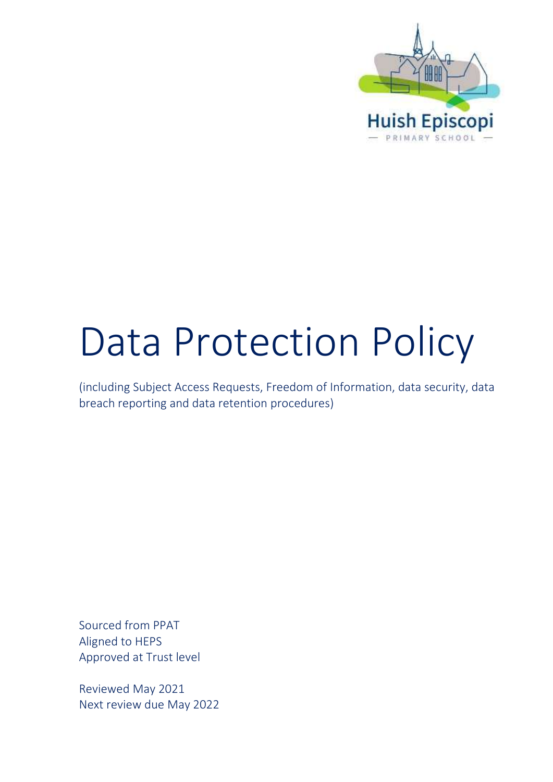

# Data Protection Policy

(including Subject Access Requests, Freedom of Information, data security, data breach reporting and data retention procedures)

Sourced from PPAT Aligned to HEPS Approved at Trust level

Reviewed May 2021 Next review due May 2022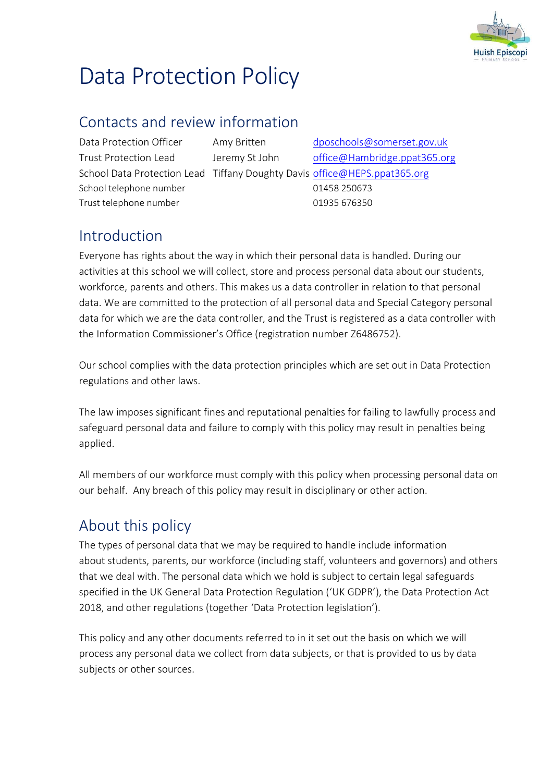

## Data Protection Policy

#### Contacts and review information

School telephone number 01458 250673 Trust telephone number 01935 676350

Data Protection Officer Amy Britten [dposchools@somerset.gov.uk](mailto:dposchools@somerset.gov.uk) Trust Protection Lead Jeremy St John [office@Hambridge.ppat365.org](mailto:office@Hambridge.ppat365.org) School Data Protection Lead Tiffany Doughty Davis [office@HEPS.ppat365.org](mailto:office@HEPS.ppat365.org)

#### Introduction

Everyone has rights about the way in which their personal data is handled. During our activities at this school we will collect, store and process personal data about our students, workforce, parents and others. This makes us a data controller in relation to that personal data. We are committed to the protection of all personal data and Special Category personal data for which we are the data controller, and the Trust is registered as a data controller with the Information Commissioner's Office (registration number Z6486752).

Our school complies with the data protection principles which are set out in Data Protection regulations and other laws.

The law imposes significant fines and reputational penalties for failing to lawfully process and safeguard personal data and failure to comply with this policy may result in penalties being applied.

All members of our workforce must comply with this policy when processing personal data on our behalf. Any breach of this policy may result in disciplinary or other action.

#### About this policy

The types of personal data that we may be required to handle include information about students, parents, our workforce (including staff, volunteers and governors) and others that we deal with. The personal data which we hold is subject to certain legal safeguards specified in the UK General Data Protection Regulation ('UK GDPR'), the Data Protection Act 2018, and other regulations (together 'Data Protection legislation').

This policy and any other documents referred to in it set out the basis on which we will process any personal data we collect from data subjects, or that is provided to us by data subjects or other sources.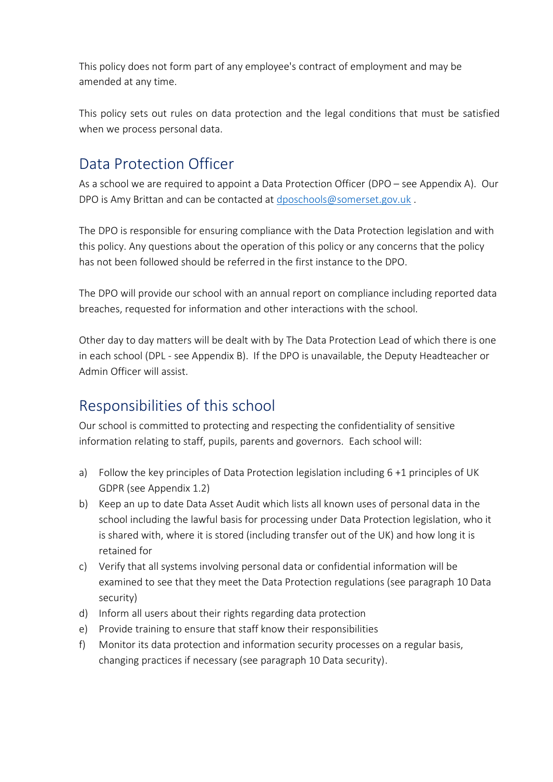This policy does not form part of any employee's contract of employment and may be amended at any time.

This policy sets out rules on data protection and the legal conditions that must be satisfied when we process personal data.

#### Data Protection Officer

As a school we are required to appoint a Data Protection Officer (DPO – see Appendix A). Our DPO is Amy Brittan and can be contacted at [dposchools@somerset.gov.uk](mailto:dposchools@somerset.gov.uk) .

The DPO is responsible for ensuring compliance with the Data Protection legislation and with this policy. Any questions about the operation of this policy or any concerns that the policy has not been followed should be referred in the first instance to the DPO.

The DPO will provide our school with an annual report on compliance including reported data breaches, requested for information and other interactions with the school.

Other day to day matters will be dealt with by The Data Protection Lead of which there is one in each school (DPL - see Appendix B). If the DPO is unavailable, the Deputy Headteacher or Admin Officer will assist.

#### Responsibilities of this school

Our school is committed to protecting and respecting the confidentiality of sensitive information relating to staff, pupils, parents and governors. Each school will:

- a) Follow the key principles of Data Protection legislation including 6 +1 principles of UK GDPR (see Appendix 1.2)
- b) Keep an up to date Data Asset Audit which lists all known uses of personal data in the school including the lawful basis for processing under Data Protection legislation, who it is shared with, where it is stored (including transfer out of the UK) and how long it is retained for
- c) Verify that all systems involving personal data or confidential information will be examined to see that they meet the Data Protection regulations (see paragraph 10 Data security)
- d) Inform all users about their rights regarding data protection
- e) Provide training to ensure that staff know their responsibilities
- f) Monitor its data protection and information security processes on a regular basis, changing practices if necessary (see paragraph 10 Data security).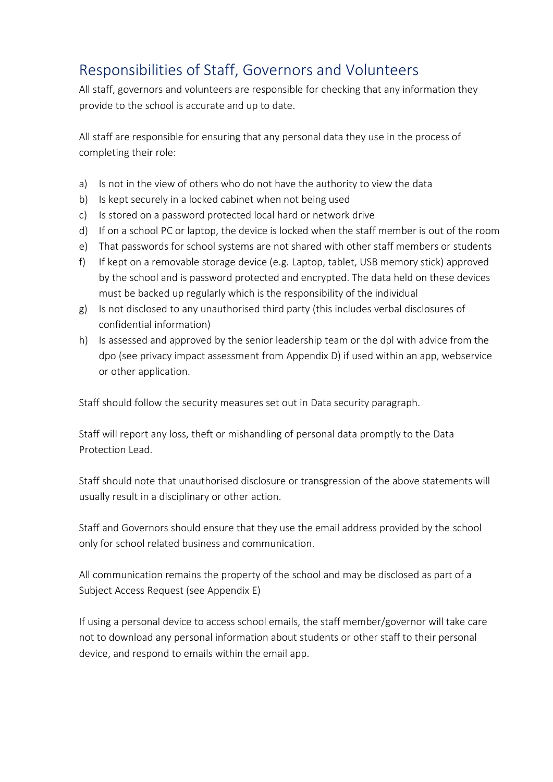#### Responsibilities of Staff, Governors and Volunteers

All staff, governors and volunteers are responsible for checking that any information they provide to the school is accurate and up to date.

All staff are responsible for ensuring that any personal data they use in the process of completing their role:

- a) Is not in the view of others who do not have the authority to view the data
- b) Is kept securely in a locked cabinet when not being used
- c) Is stored on a password protected local hard or network drive
- d) If on a school PC or laptop, the device is locked when the staff member is out of the room
- e) That passwords for school systems are not shared with other staff members or students
- f) If kept on a removable storage device (e.g. Laptop, tablet, USB memory stick) approved by the school and is password protected and encrypted. The data held on these devices must be backed up regularly which is the responsibility of the individual
- g) Is not disclosed to any unauthorised third party (this includes verbal disclosures of confidential information)
- h) Is assessed and approved by the senior leadership team or the dpl with advice from the dpo (see privacy impact assessment from Appendix D) if used within an app, webservice or other application.

Staff should follow the security measures set out in Data security paragraph.

Staff will report any loss, theft or mishandling of personal data promptly to the Data Protection Lead.

Staff should note that unauthorised disclosure or transgression of the above statements will usually result in a disciplinary or other action.

Staff and Governors should ensure that they use the email address provided by the school only for school related business and communication.

All communication remains the property of the school and may be disclosed as part of a Subject Access Request (see Appendix E)

If using a personal device to access school emails, the staff member/governor will take care not to download any personal information about students or other staff to their personal device, and respond to emails within the email app.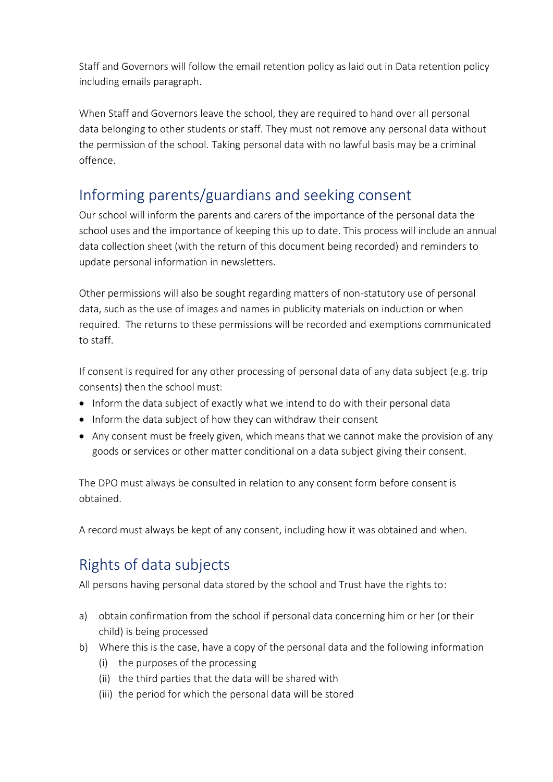Staff and Governors will follow the email retention policy as laid out in Data retention policy including emails paragraph.

When Staff and Governors leave the school, they are required to hand over all personal data belonging to other students or staff. They must not remove any personal data without the permission of the school. Taking personal data with no lawful basis may be a criminal offence.

#### Informing parents/guardians and seeking consent

Our school will inform the parents and carers of the importance of the personal data the school uses and the importance of keeping this up to date. This process will include an annual data collection sheet (with the return of this document being recorded) and reminders to update personal information in newsletters.

Other permissions will also be sought regarding matters of non-statutory use of personal data, such as the use of images and names in publicity materials on induction or when required. The returns to these permissions will be recorded and exemptions communicated to staff.

If consent is required for any other processing of personal data of any data subject (e.g. trip consents) then the school must:

- Inform the data subject of exactly what we intend to do with their personal data
- Inform the data subject of how they can withdraw their consent
- Any consent must be freely given, which means that we cannot make the provision of any goods or services or other matter conditional on a data subject giving their consent.

The DPO must always be consulted in relation to any consent form before consent is obtained.

A record must always be kept of any consent, including how it was obtained and when.

#### Rights of data subjects

All persons having personal data stored by the school and Trust have the rights to:

- a) obtain confirmation from the school if personal data concerning him or her (or their child) is being processed
- b) Where this is the case, have a copy of the personal data and the following information
	- (i) the purposes of the processing
	- (ii) the third parties that the data will be shared with
	- (iii) the period for which the personal data will be stored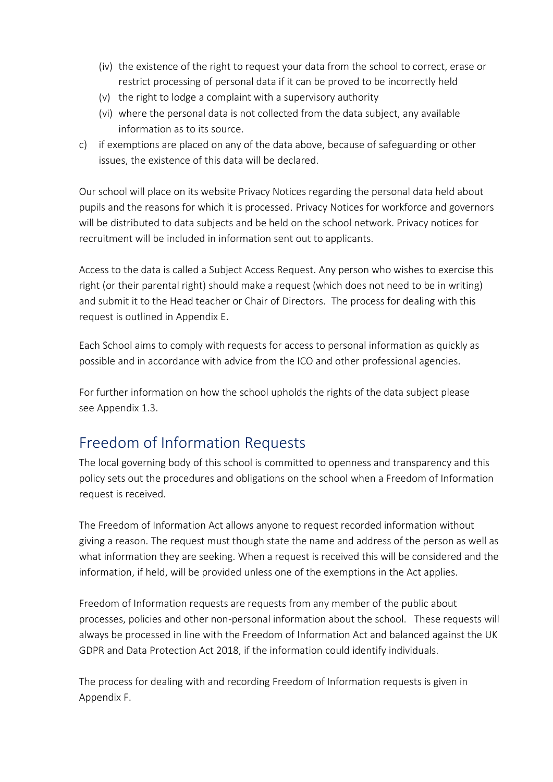- (iv) the existence of the right to request your data from the school to correct, erase or restrict processing of personal data if it can be proved to be incorrectly held
- (v) the right to lodge a complaint with a supervisory authority
- (vi) where the personal data is not collected from the data subject, any available information as to its source.
- c) if exemptions are placed on any of the data above, because of safeguarding or other issues, the existence of this data will be declared.

Our school will place on its website Privacy Notices regarding the personal data held about pupils and the reasons for which it is processed. Privacy Notices for workforce and governors will be distributed to data subjects and be held on the school network. Privacy notices for recruitment will be included in information sent out to applicants.

Access to the data is called a Subject Access Request. Any person who wishes to exercise this right (or their parental right) should make a request (which does not need to be in writing) and submit it to the Head teacher or Chair of Directors. The process for dealing with this request is outlined in Appendix E.

Each School aims to comply with requests for access to personal information as quickly as possible and in accordance with advice from the ICO and other professional agencies.

For further information on how the school upholds the rights of the data subject please see Appendix 1.3.

#### Freedom of Information Requests

The local governing body of this school is committed to openness and transparency and this policy sets out the procedures and obligations on the school when a Freedom of Information request is received.

The Freedom of Information Act allows anyone to request recorded information without giving a reason. The request must though state the name and address of the person as well as what information they are seeking. When a request is received this will be considered and the information, if held, will be provided unless one of the exemptions in the Act applies.

Freedom of Information requests are requests from any member of the public about processes, policies and other non-personal information about the school. These requests will always be processed in line with the Freedom of Information Act and balanced against the UK GDPR and Data Protection Act 2018, if the information could identify individuals.

The process for dealing with and recording Freedom of Information requests is given in Appendix F.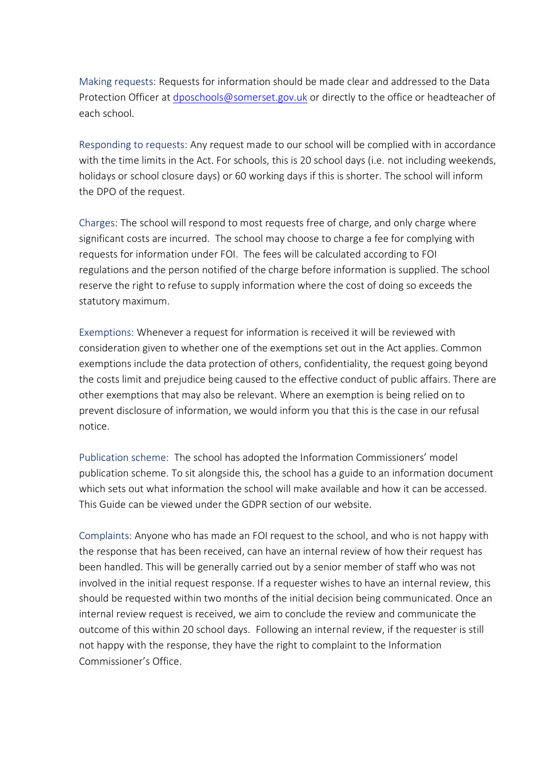Making requests: Requests for information should be made clear and addressed to the Data Protection Officer at [dposchools@somerset.gov.uk](mailto:dposchools@somerset.gov.uk) or directly to the office or headteacher of each school.

Responding to requests: Any request made to our school will be complied with in accordance with the time limits in the Act. For schools, this is 20 school days (i.e. not including weekends, holidays or school closure days) or 60 working days if this is shorter. The school will inform the DPO of the request.

Charges: The school will respond to most requests free of charge, and only charge where significant costs are incurred. The school may choose to charge a fee for complying with requests for information under FOI. The fees will be calculated according to FOI regulations and the person notified of the charge before information is supplied. The school reserve the right to refuse to supply information where the cost of doing so exceeds the statutory maximum.

Exemptions: Whenever a request for information is received it will be reviewed with consideration given to whether one of the exemptions set out in the Act applies. Common exemptions include the data protection of others, confidentiality, the request going beyond the costs limit and prejudice being caused to the effective conduct of public affairs. There are other exemptions that may also be relevant. Where an exemption is being relied on to prevent disclosure of information, we would inform you that this is the case in our refusal notice.

Publication scheme: The school has adopted the Information Commissioners' model publication scheme. To sit alongside this, the school has a guide to an information document which sets out what information the school will make available and how it can be accessed. This Guide can be viewed under the GDPR section of our website.

Complaints: Anyone who has made an FOI request to the school, and who is not happy with the response that has been received, can have an internal review of how their request has been handled. This will be generally carried out by a senior member of staff who was not involved in the initial request response. If a requester wishes to have an internal review, this should be requested within two months of the initial decision being communicated. Once an internal review request is received, we aim to conclude the review and communicate the outcome of this within 20 school days. Following an internal review, if the requester is still not happy with the response, they have the right to complaint to the Information Commissioner's Office.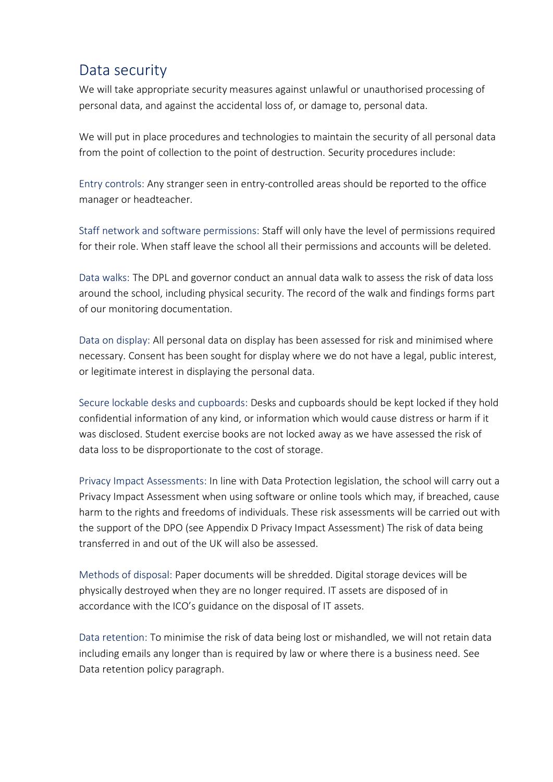#### Data security

We will take appropriate security measures against unlawful or unauthorised processing of personal data, and against the accidental loss of, or damage to, personal data.

We will put in place procedures and technologies to maintain the security of all personal data from the point of collection to the point of destruction. Security procedures include:

Entry controls: Any stranger seen in entry-controlled areas should be reported to the office manager or headteacher.

Staff network and software permissions: Staff will only have the level of permissions required for their role. When staff leave the school all their permissions and accounts will be deleted.

Data walks: The DPL and governor conduct an annual data walk to assess the risk of data loss around the school, including physical security. The record of the walk and findings forms part of our monitoring documentation.

Data on display: All personal data on display has been assessed for risk and minimised where necessary. Consent has been sought for display where we do not have a legal, public interest, or legitimate interest in displaying the personal data.

Secure lockable desks and cupboards: Desks and cupboards should be kept locked if they hold confidential information of any kind, or information which would cause distress or harm if it was disclosed. Student exercise books are not locked away as we have assessed the risk of data loss to be disproportionate to the cost of storage.

Privacy Impact Assessments: In line with Data Protection legislation, the school will carry out a Privacy Impact Assessment when using software or online tools which may, if breached, cause harm to the rights and freedoms of individuals. These risk assessments will be carried out with the support of the DPO (see Appendix D Privacy Impact Assessment) The risk of data being transferred in and out of the UK will also be assessed.

Methods of disposal: Paper documents will be shredded. Digital storage devices will be physically destroyed when they are no longer required. IT assets are disposed of in accordance with the ICO's guidance on the disposal of IT assets.

Data retention: To minimise the risk of data being lost or mishandled, we will not retain data including emails any longer than is required by law or where there is a business need. See Data retention policy paragraph.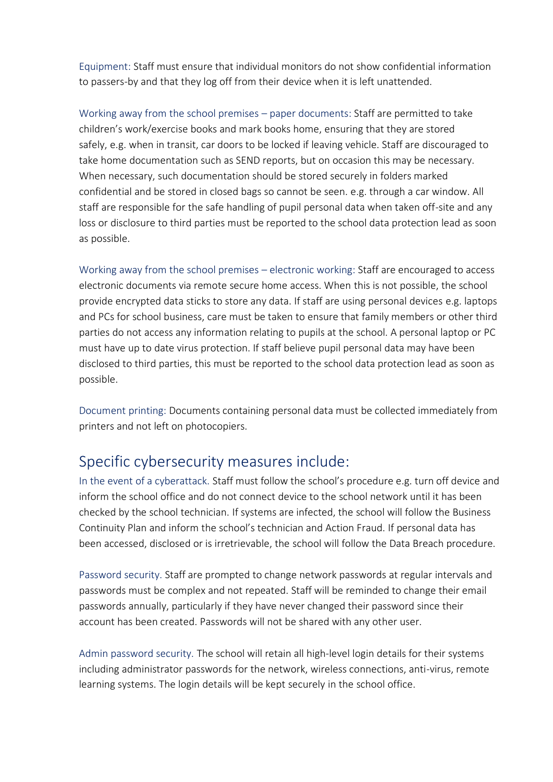Equipment: Staff must ensure that individual monitors do not show confidential information to passers-by and that they log off from their device when it is left unattended.

Working away from the school premises – paper documents: Staff are permitted to take children's work/exercise books and mark books home, ensuring that they are stored safely, e.g. when in transit, car doors to be locked if leaving vehicle. Staff are discouraged to take home documentation such as SEND reports, but on occasion this may be necessary. When necessary, such documentation should be stored securely in folders marked confidential and be stored in closed bags so cannot be seen. e.g. through a car window. All staff are responsible for the safe handling of pupil personal data when taken off-site and any loss or disclosure to third parties must be reported to the school data protection lead as soon as possible.

Working away from the school premises – electronic working: Staff are encouraged to access electronic documents via remote secure home access. When this is not possible, the school provide encrypted data sticks to store any data. If staff are using personal devices e.g. laptops and PCs for school business, care must be taken to ensure that family members or other third parties do not access any information relating to pupils at the school. A personal laptop or PC must have up to date virus protection. If staff believe pupil personal data may have been disclosed to third parties, this must be reported to the school data protection lead as soon as possible.

Document printing: Documents containing personal data must be collected immediately from printers and not left on photocopiers.

#### Specific cybersecurity measures include:

In the event of a cyberattack. Staff must follow the school's procedure e.g. turn off device and inform the school office and do not connect device to the school network until it has been checked by the school technician. If systems are infected, the school will follow the Business Continuity Plan and inform the school's technician and Action Fraud. If personal data has been accessed, disclosed or is irretrievable, the school will follow the Data Breach procedure.

Password security. Staff are prompted to change network passwords at regular intervals and passwords must be complex and not repeated. Staff will be reminded to change their email passwords annually, particularly if they have never changed their password since their account has been created. Passwords will not be shared with any other user.

Admin password security. The school will retain all high-level login details for their systems including administrator passwords for the network, wireless connections, anti-virus, remote learning systems. The login details will be kept securely in the school office.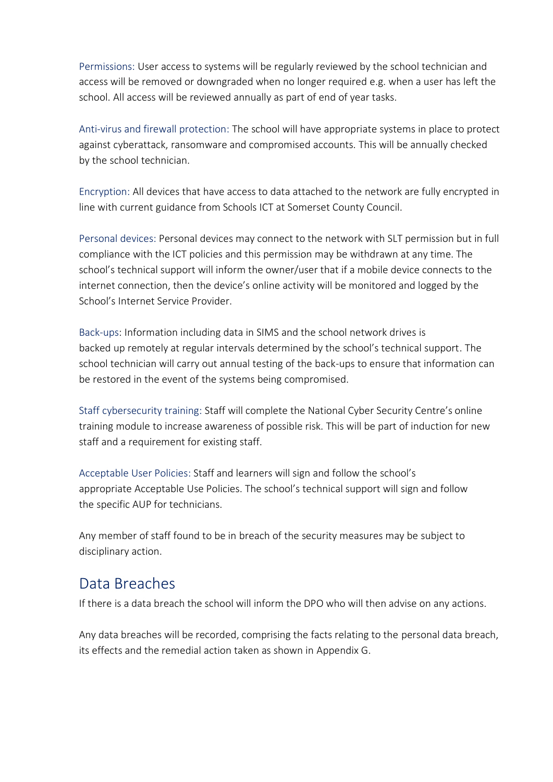Permissions: User access to systems will be regularly reviewed by the school technician and access will be removed or downgraded when no longer required e.g. when a user has left the school. All access will be reviewed annually as part of end of year tasks.

Anti-virus and firewall protection: The school will have appropriate systems in place to protect against cyberattack, ransomware and compromised accounts. This will be annually checked by the school technician.

Encryption: All devices that have access to data attached to the network are fully encrypted in line with current guidance from Schools ICT at Somerset County Council.

Personal devices: Personal devices may connect to the network with SLT permission but in full compliance with the ICT policies and this permission may be withdrawn at any time. The school's technical support will inform the owner/user that if a mobile device connects to the internet connection, then the device's online activity will be monitored and logged by the School's Internet Service Provider.

Back-ups: Information including data in SIMS and the school network drives is backed up remotely at regular intervals determined by the school's technical support. The school technician will carry out annual testing of the back-ups to ensure that information can be restored in the event of the systems being compromised.

Staff cybersecurity training: Staff will complete the [National Cyber Security Centre's online](https://www.ncsc.gov.uk/training/StaySafeOnline_web/index.html#/menu/5f215cc1006d2436a3b6c5e2)  [training module](https://www.ncsc.gov.uk/training/StaySafeOnline_web/index.html#/menu/5f215cc1006d2436a3b6c5e2) to increase awareness of possible risk. This will be part of induction for new staff and a requirement for existing staff.

Acceptable User Policies: Staff and learners will sign and follow the school's appropriate Acceptable Use Policies. The school's technical support will sign and follow the specific AUP for technicians.

Any member of staff found to be in breach of the security measures may be subject to disciplinary action.

#### Data Breaches

If there is a data breach the school will inform the DPO who will then advise on any actions.

Any data breaches will be recorded, comprising the facts relating to the personal data breach, its effects and the remedial action taken as shown in [Appendix G.](#page-27-0)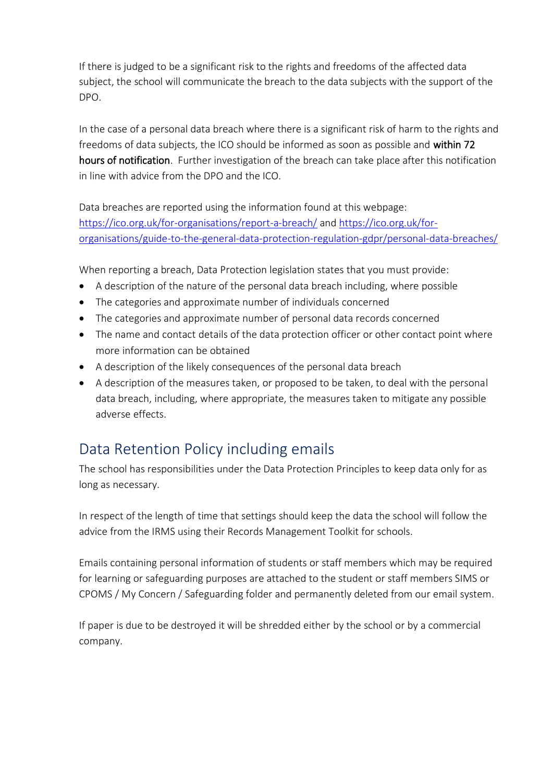If there is judged to be a significant risk to the rights and freedoms of the affected data subject, the school will communicate the breach to the data subjects with the support of the DPO.

In the case of a personal data breach where there is a significant risk of harm to the rights and freedoms of data subjects, the ICO should be informed as soon as possible and within 72 hours of notification. Further investigation of the breach can take place after this notification in line with advice from the DPO and the ICO.

Data breaches are reported using the information found at this webpage: <https://ico.org.uk/for-organisations/report-a-breach/> and [https://ico.org.uk/for](https://ico.org.uk/for-organisations/guide-to-the-general-data-protection-regulation-gdpr/personal-data-breaches/)[organisations/guide-to-the-general-data-protection-regulation-gdpr/personal-data-breaches/](https://ico.org.uk/for-organisations/guide-to-the-general-data-protection-regulation-gdpr/personal-data-breaches/)

When reporting a breach, Data Protection legislation states that you must provide:

- A description of the nature of the personal data breach including, where possible
- The categories and approximate number of individuals concerned
- The categories and approximate number of personal data records concerned
- The name and contact details of the data protection officer or other contact point where more information can be obtained
- A description of the likely consequences of the personal data breach
- A description of the measures taken, or proposed to be taken, to deal with the personal data breach, including, where appropriate, the measures taken to mitigate any possible adverse effects.

#### Data Retention Policy including emails

The school has responsibilities under the Data Protection Principles to keep data only for as long as necessary.

In respect of the length of time that settings should keep the data the school will follow the advice from the IRMS using their Records Management Toolkit for schools.

Emails containing personal information of students or staff members which may be required for learning or safeguarding purposes are attached to the student or staff members SIMS or CPOMS / My Concern / Safeguarding folder and permanently deleted from our email system.

If paper is due to be destroyed it will be shredded either by the school or by a commercial company.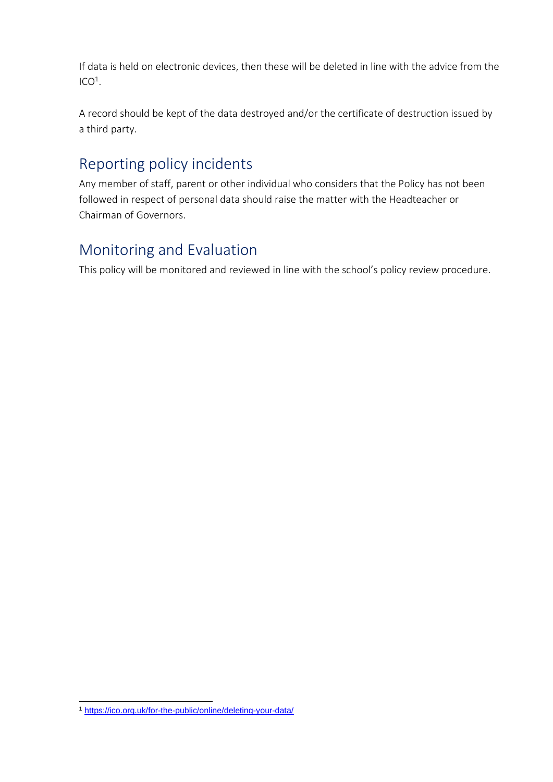If data is held on electronic devices, then these will be deleted in line with the advice from the  $ICO<sup>1</sup>.$ 

A record should be kept of the data destroyed and/or the certificate of destruction issued by a third party.

#### Reporting policy incidents

Any member of staff, parent or other individual who considers that the Policy has not been followed in respect of personal data should raise the matter with the Headteacher or Chairman of Governors.

#### Monitoring and Evaluation

This policy will be monitored and reviewed in line with the school's policy review procedure.

<sup>1</sup> <https://ico.org.uk/for-the-public/online/deleting-your-data/>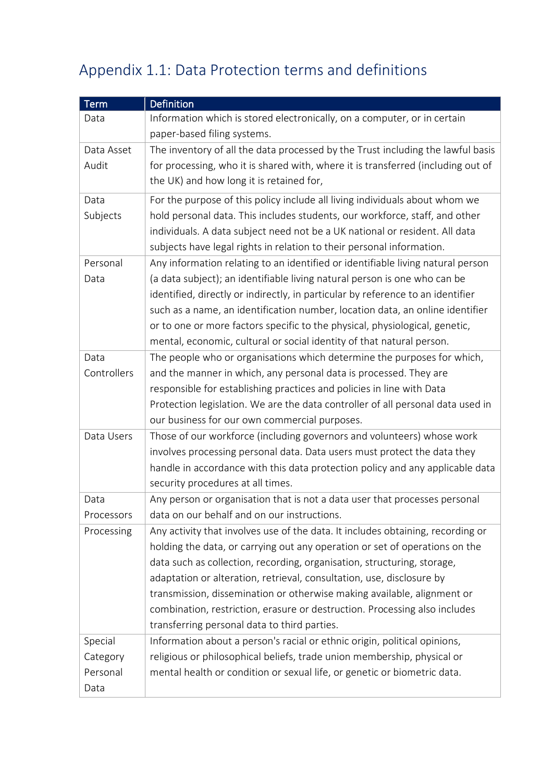## Appendix 1.1: Data Protection terms and definitions

| <b>Term</b> | <b>Definition</b>                                                                |
|-------------|----------------------------------------------------------------------------------|
| Data        | Information which is stored electronically, on a computer, or in certain         |
|             | paper-based filing systems.                                                      |
| Data Asset  | The inventory of all the data processed by the Trust including the lawful basis  |
| Audit       | for processing, who it is shared with, where it is transferred (including out of |
|             | the UK) and how long it is retained for,                                         |
| Data        | For the purpose of this policy include all living individuals about whom we      |
| Subjects    | hold personal data. This includes students, our workforce, staff, and other      |
|             | individuals. A data subject need not be a UK national or resident. All data      |
|             | subjects have legal rights in relation to their personal information.            |
| Personal    | Any information relating to an identified or identifiable living natural person  |
| Data        | (a data subject); an identifiable living natural person is one who can be        |
|             | identified, directly or indirectly, in particular by reference to an identifier  |
|             | such as a name, an identification number, location data, an online identifier    |
|             | or to one or more factors specific to the physical, physiological, genetic,      |
|             | mental, economic, cultural or social identity of that natural person.            |
| Data        | The people who or organisations which determine the purposes for which,          |
| Controllers | and the manner in which, any personal data is processed. They are                |
|             | responsible for establishing practices and policies in line with Data            |
|             | Protection legislation. We are the data controller of all personal data used in  |
|             | our business for our own commercial purposes.                                    |
| Data Users  | Those of our workforce (including governors and volunteers) whose work           |
|             | involves processing personal data. Data users must protect the data they         |
|             | handle in accordance with this data protection policy and any applicable data    |
|             | security procedures at all times.                                                |
| Data        | Any person or organisation that is not a data user that processes personal       |
| Processors  | data on our behalf and on our instructions.                                      |
| Processing  | Any activity that involves use of the data. It includes obtaining, recording or  |
|             | holding the data, or carrying out any operation or set of operations on the      |
|             | data such as collection, recording, organisation, structuring, storage,          |
|             | adaptation or alteration, retrieval, consultation, use, disclosure by            |
|             | transmission, dissemination or otherwise making available, alignment or          |
|             | combination, restriction, erasure or destruction. Processing also includes       |
|             | transferring personal data to third parties.                                     |
| Special     | Information about a person's racial or ethnic origin, political opinions,        |
| Category    | religious or philosophical beliefs, trade union membership, physical or          |
| Personal    | mental health or condition or sexual life, or genetic or biometric data.         |
| Data        |                                                                                  |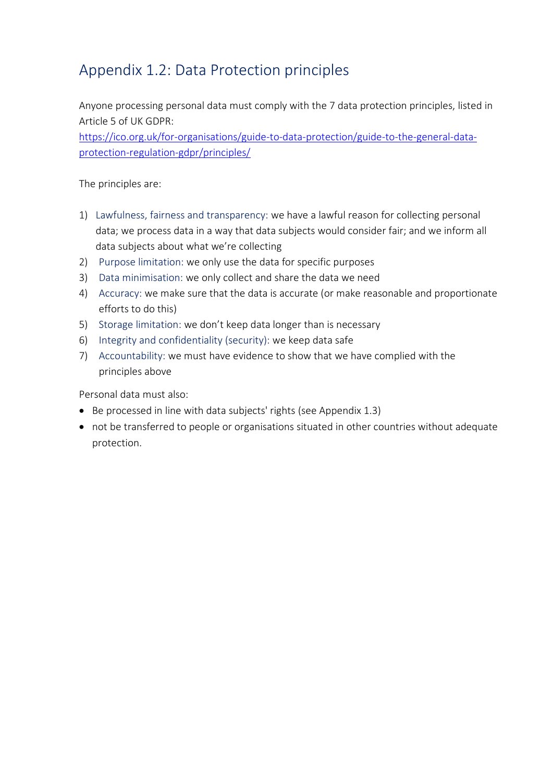## Appendix 1.2: Data Protection principles

Anyone processing personal data must comply with the 7 data protection principles, listed in Article 5 of UK GDPR:

[https://ico.org.uk/for-organisations/guide-to-data-protection/guide-to-the-general-data](https://ico.org.uk/for-organisations/guide-to-data-protection/guide-to-the-general-data-protection-regulation-gdpr/principles/)[protection-regulation-gdpr/principles/](https://ico.org.uk/for-organisations/guide-to-data-protection/guide-to-the-general-data-protection-regulation-gdpr/principles/)

The principles are:

- 1) Lawfulness, fairness and transparency: we have a lawful reason for collecting personal data; we process data in a way that data subjects would consider fair; and we inform all data subjects about what we're collecting
- 2) Purpose limitation: we only use the data for specific purposes
- 3) Data minimisation: we only collect and share the data we need
- 4) Accuracy: we make sure that the data is accurate (or make reasonable and proportionate efforts to do this)
- 5) Storage limitation: we don't keep data longer than is necessary
- 6) Integrity and confidentiality (security): we keep data safe
- 7) Accountability: we must have evidence to show that we have complied with the principles above

Personal data must also:

- Be processed in line with data subjects' rights (see Appendix 1.3)
- not be transferred to people or organisations situated in other countries without adequate protection.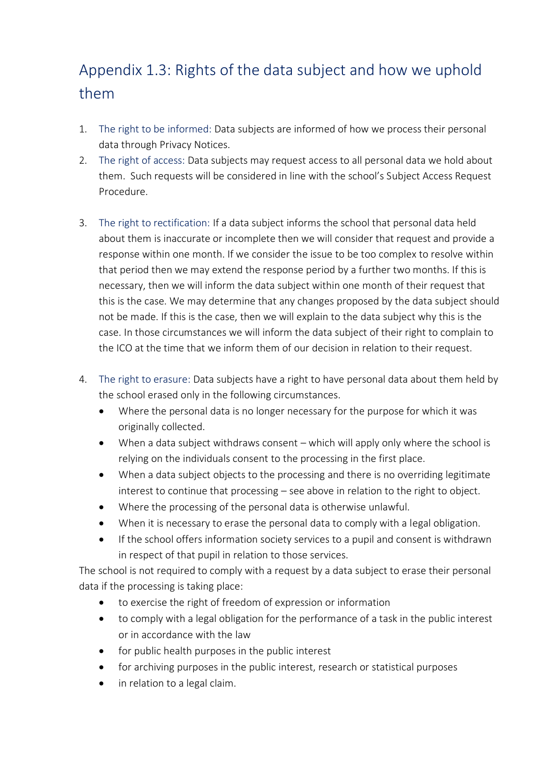## Appendix 1.3: Rights of the data subject and how we uphold them

- 1. The right to be informed: Data subjects are informed of how we process their personal data through Privacy Notices.
- 2. The right of access: Data subjects may request access to all personal data we hold about them. Such requests will be considered in line with the school's Subject Access Request Procedure.
- 3. The right to rectification: If a data subject informs the school that personal data held about them is inaccurate or incomplete then we will consider that request and provide a response within one month. If we consider the issue to be too complex to resolve within that period then we may extend the response period by a further two months. If this is necessary, then we will inform the data subject within one month of their request that this is the case. We may determine that any changes proposed by the data subject should not be made. If this is the case, then we will explain to the data subject why this is the case. In those circumstances we will inform the data subject of their right to complain to the ICO at the time that we inform them of our decision in relation to their request.
- 4. The right to erasure: Data subjects have a right to have personal data about them held by the school erased only in the following circumstances.
	- Where the personal data is no longer necessary for the purpose for which it was originally collected.
	- When a data subject withdraws consent which will apply only where the school is relying on the individuals consent to the processing in the first place.
	- When a data subject objects to the processing and there is no overriding legitimate interest to continue that processing – see above in relation to the right to object.
	- Where the processing of the personal data is otherwise unlawful.
	- When it is necessary to erase the personal data to comply with a legal obligation.
	- If the school offers information society services to a pupil and consent is withdrawn in respect of that pupil in relation to those services.

The school is not required to comply with a request by a data subject to erase their personal data if the processing is taking place:

- to exercise the right of freedom of expression or information
- to comply with a legal obligation for the performance of a task in the public interest or in accordance with the law
- for public health purposes in the public interest
- for archiving purposes in the public interest, research or statistical purposes
- in relation to a legal claim.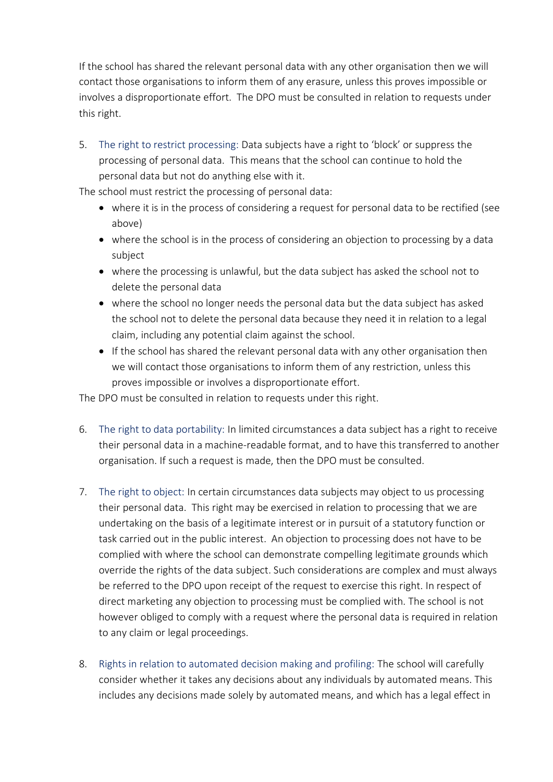If the school has shared the relevant personal data with any other organisation then we will contact those organisations to inform them of any erasure, unless this proves impossible or involves a disproportionate effort. The DPO must be consulted in relation to requests under this right.

5. The right to restrict processing: Data subjects have a right to 'block' or suppress the processing of personal data. This means that the school can continue to hold the personal data but not do anything else with it.

The school must restrict the processing of personal data:

- where it is in the process of considering a request for personal data to be rectified (see above)
- where the school is in the process of considering an objection to processing by a data subject
- where the processing is unlawful, but the data subject has asked the school not to delete the personal data
- where the school no longer needs the personal data but the data subject has asked the school not to delete the personal data because they need it in relation to a legal claim, including any potential claim against the school.
- If the school has shared the relevant personal data with any other organisation then we will contact those organisations to inform them of any restriction, unless this proves impossible or involves a disproportionate effort.

The DPO must be consulted in relation to requests under this right.

- 6. The right to data portability: In limited circumstances a data subject has a right to receive their personal data in a machine-readable format, and to have this transferred to another organisation. If such a request is made, then the DPO must be consulted.
- 7. The right to object: In certain circumstances data subjects may object to us processing their personal data. This right may be exercised in relation to processing that we are undertaking on the basis of a legitimate interest or in pursuit of a statutory function or task carried out in the public interest. An objection to processing does not have to be complied with where the school can demonstrate compelling legitimate grounds which override the rights of the data subject. Such considerations are complex and must always be referred to the DPO upon receipt of the request to exercise this right. In respect of direct marketing any objection to processing must be complied with. The school is not however obliged to comply with a request where the personal data is required in relation to any claim or legal proceedings.
- 8. Rights in relation to automated decision making and profiling: The school will carefully consider whether it takes any decisions about any individuals by automated means. This includes any decisions made solely by automated means, and which has a legal effect in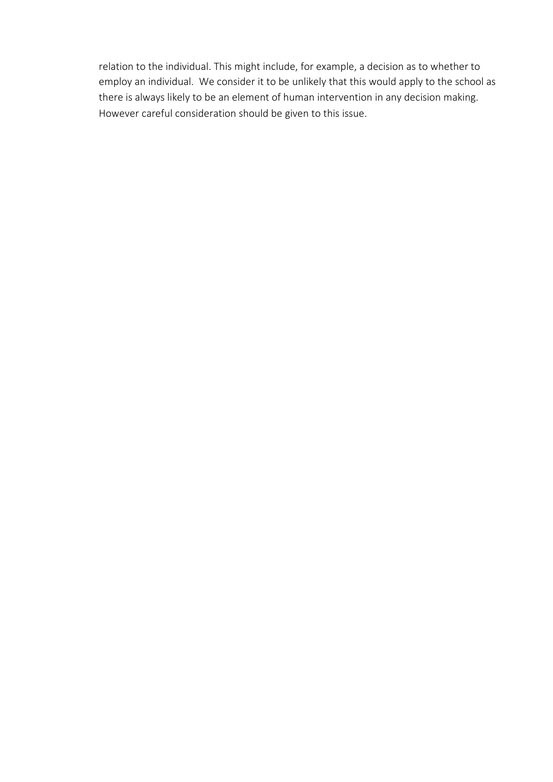relation to the individual. This might include, for example, a decision as to whether to employ an individual. We consider it to be unlikely that this would apply to the school as there is always likely to be an element of human intervention in any decision making. However careful consideration should be given to this issue.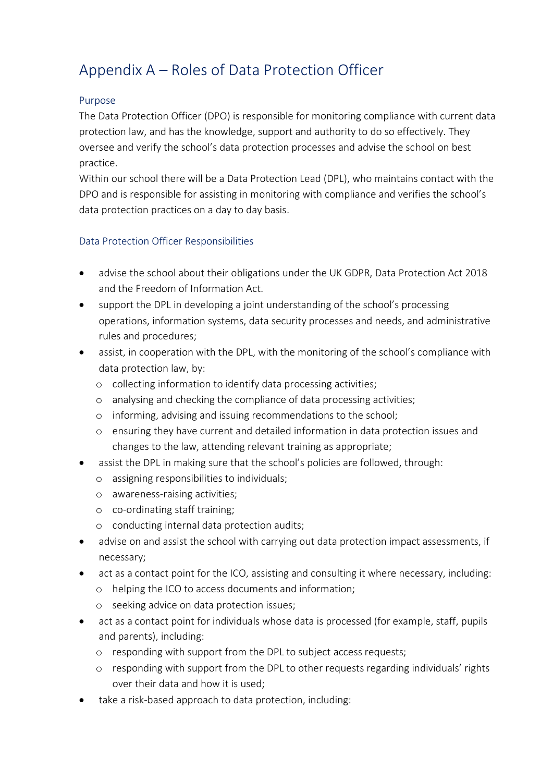## Appendix A – Roles of Data Protection Officer

#### Purpose

The Data Protection Officer (DPO) is responsible for monitoring compliance with current data protection law, and has the knowledge, support and authority to do so effectively. They oversee and verify the school's data protection processes and advise the school on best practice.

Within our school there will be a Data Protection Lead (DPL), who maintains contact with the DPO and is responsible for assisting in monitoring with compliance and verifies the school's data protection practices on a day to day basis.

#### Data Protection Officer Responsibilities

- advise the school about their obligations under the UK GDPR, Data Protection Act 2018 and the Freedom of Information Act.
- support the DPL in developing a joint understanding of the school's processing operations, information systems, data security processes and needs, and administrative rules and procedures;
- assist, in cooperation with the DPL, with the monitoring of the school's compliance with data protection law, by:
	- o collecting information to identify data processing activities;
	- o analysing and checking the compliance of data processing activities;
	- o informing, advising and issuing recommendations to the school;
	- o ensuring they have current and detailed information in data protection issues and changes to the law, attending relevant training as appropriate;
- assist the DPL in making sure that the school's policies are followed, through:
	- o assigning responsibilities to individuals;
	- o awareness-raising activities;
	- o co-ordinating staff training;
	- o conducting internal data protection audits;
- advise on and assist the school with carrying out data protection impact assessments, if necessary;
- act as a contact point for the ICO, assisting and consulting it where necessary, including:
	- o helping the ICO to access documents and information;
	- o seeking advice on data protection issues;
- act as a contact point for individuals whose data is processed (for example, staff, pupils and parents), including:
	- o responding with support from the DPL to subject access requests;
	- o responding with support from the DPL to other requests regarding individuals' rights over their data and how it is used;
- take a risk-based approach to data protection, including: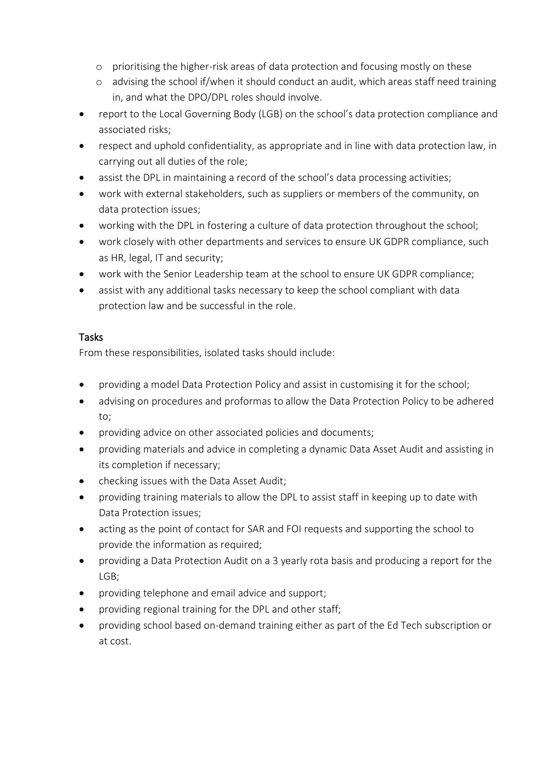- o prioritising the higher-risk areas of data protection and focusing mostly on these
- o advising the school if/when it should conduct an audit, which areas staff need training in, and what the DPO/DPL roles should involve.
- report to the Local Governing Body (LGB) on the school's data protection compliance and associated risks;
- respect and uphold confidentiality, as appropriate and in line with data protection law, in carrying out all duties of the role;
- assist the DPL in maintaining a record of the school's data processing activities;
- work with external stakeholders, such as suppliers or members of the community, on data protection issues;
- working with the DPL in fostering a culture of data protection throughout the school;
- work closely with other departments and services to ensure UK GDPR compliance, such as HR, legal, IT and security;
- work with the Senior Leadership team at the school to ensure UK GDPR compliance;
- assist with any additional tasks necessary to keep the school compliant with data protection law and be successful in the role.

#### Tasks

From these responsibilities, isolated tasks should include:

- providing a model Data Protection Policy and assist in customising it for the school;
- advising on procedures and proformas to allow the Data Protection Policy to be adhered to;
- providing advice on other associated policies and documents;
- providing materials and advice in completing a dynamic Data Asset Audit and assisting in its completion if necessary;
- checking issues with the Data Asset Audit;
- providing training materials to allow the DPL to assist staff in keeping up to date with Data Protection issues;
- acting as the point of contact for SAR and FOI requests and supporting the school to provide the information as required;
- providing a Data Protection Audit on a 3 yearly rota basis and producing a report for the LGB;
- providing telephone and email advice and support;
- providing regional training for the DPL and other staff;
- providing school based on-demand training either as part of the Ed Tech subscription or at cost.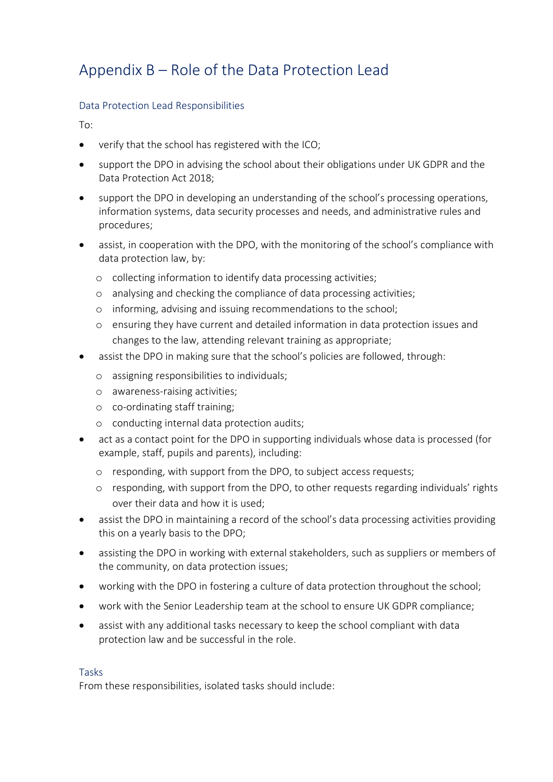## Appendix B – Role of the Data Protection Lead

#### Data Protection Lead Responsibilities

To:

- verify that the school has registered with the ICO;
- support the DPO in advising the school about their obligations under UK GDPR and the Data Protection Act 2018;
- support the DPO in developing an understanding of the school's processing operations, information systems, data security processes and needs, and administrative rules and procedures;
- assist, in cooperation with the DPO, with the monitoring of the school's compliance with data protection law, by:
	- o collecting information to identify data processing activities;
	- o analysing and checking the compliance of data processing activities;
	- o informing, advising and issuing recommendations to the school;
	- o ensuring they have current and detailed information in data protection issues and changes to the law, attending relevant training as appropriate;
- assist the DPO in making sure that the school's policies are followed, through:
	- o assigning responsibilities to individuals;
	- o awareness-raising activities;
	- o co-ordinating staff training;
	- o conducting internal data protection audits;
- act as a contact point for the DPO in supporting individuals whose data is processed (for example, staff, pupils and parents), including:
	- o responding, with support from the DPO, to subject access requests;
	- o responding, with support from the DPO, to other requests regarding individuals' rights over their data and how it is used;
- assist the DPO in maintaining a record of the school's data processing activities providing this on a yearly basis to the DPO;
- assisting the DPO in working with external stakeholders, such as suppliers or members of the community, on data protection issues;
- working with the DPO in fostering a culture of data protection throughout the school;
- work with the Senior Leadership team at the school to ensure UK GDPR compliance;
- assist with any additional tasks necessary to keep the school compliant with data protection law and be successful in the role.

#### Tasks

From these responsibilities, isolated tasks should include: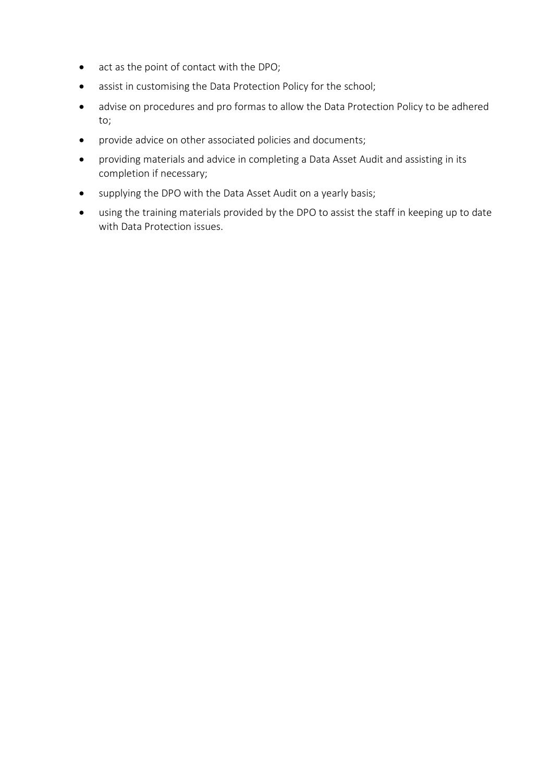- act as the point of contact with the DPO;
- assist in customising the Data Protection Policy for the school;
- advise on procedures and pro formas to allow the Data Protection Policy to be adhered to;
- provide advice on other associated policies and documents;
- providing materials and advice in completing a Data Asset Audit and assisting in its completion if necessary;
- supplying the DPO with the Data Asset Audit on a yearly basis;
- using the training materials provided by the DPO to assist the staff in keeping up to date with Data Protection issues.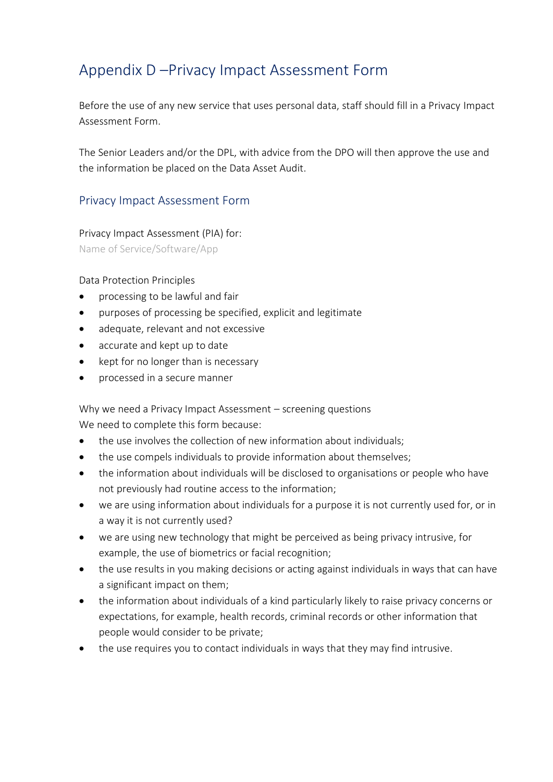#### Appendix D –Privacy Impact Assessment Form

Before the use of any new service that uses personal data, staff should fill in a Privacy Impact Assessment Form.

The Senior Leaders and/or the DPL, with advice from the DPO will then approve the use and the information be placed on the Data Asset Audit.

#### Privacy Impact Assessment Form

Privacy Impact Assessment (PIA) for:

Name of Service/Software/App

#### Data Protection Principles

- processing to be lawful and fair
- purposes of processing be specified, explicit and legitimate
- adequate, relevant and not excessive
- accurate and kept up to date
- kept for no longer than is necessary
- processed in a secure manner

Why we need a Privacy Impact Assessment – screening questions

We need to complete this form because:

- the use involves the collection of new information about individuals;
- the use compels individuals to provide information about themselves;
- the information about individuals will be disclosed to organisations or people who have not previously had routine access to the information;
- we are using information about individuals for a purpose it is not currently used for, or in a way it is not currently used?
- we are using new technology that might be perceived as being privacy intrusive, for example, the use of biometrics or facial recognition;
- the use results in you making decisions or acting against individuals in ways that can have a significant impact on them;
- the information about individuals of a kind particularly likely to raise privacy concerns or expectations, for example, health records, criminal records or other information that people would consider to be private;
- the use requires you to contact individuals in ways that they may find intrusive.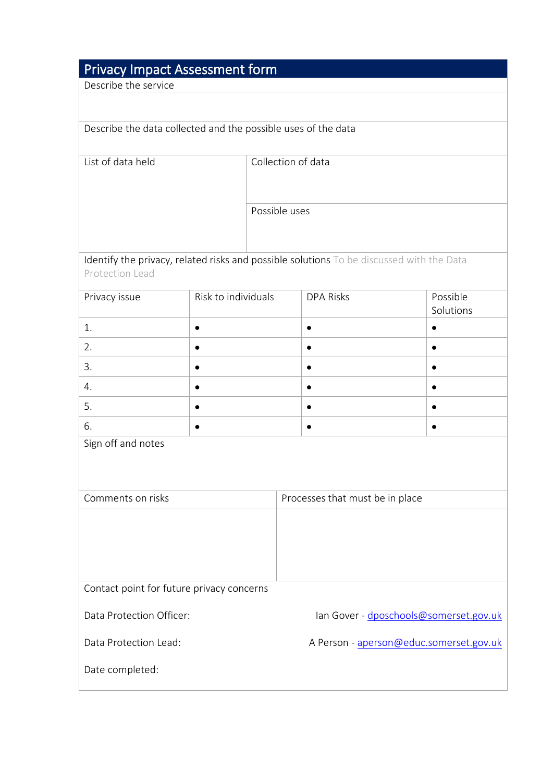## Privacy Impact Assessment form

Describe the service

Describe the data collected and the possible uses of the data

List of data held Collection of data

Possible uses

Identify the privacy, related risks and possible solutions To be discussed with the Data Protection Lead

| Privacy issue | Risk to individuals | <b>DPA Risks</b> | Possible<br>Solutions |
|---------------|---------------------|------------------|-----------------------|
|               |                     |                  |                       |
| 2.            |                     |                  |                       |
| 3.            |                     |                  |                       |
| 4.            |                     |                  |                       |
| 5.            |                     |                  |                       |
| 6.            |                     |                  |                       |

Sign off and notes

| Comments on risks                         | Processes that must be in place         |
|-------------------------------------------|-----------------------------------------|
|                                           |                                         |
|                                           |                                         |
|                                           |                                         |
|                                           |                                         |
| Contact point for future privacy concerns |                                         |
|                                           |                                         |
| Data Protection Officer:                  | lan Gover - dposchools@somerset.gov.uk  |
|                                           |                                         |
| Data Protection Lead:                     | A Person - aperson@educ.somerset.gov.uk |
| Date completed:                           |                                         |
|                                           |                                         |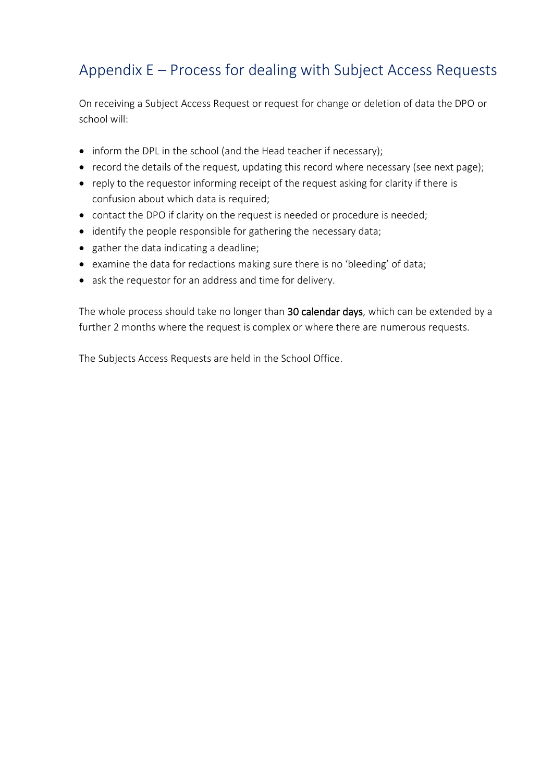#### Appendix E – Process for dealing with Subject Access Requests

On receiving a Subject Access Request or request for change or deletion of data the DPO or school will:

- inform the DPL in the school (and the Head teacher if necessary);
- record the details of the request, updating this record where necessary (see next page);
- reply to the requestor informing receipt of the request asking for clarity if there is confusion about which data is required;
- contact the DPO if clarity on the request is needed or procedure is needed;
- identify the people responsible for gathering the necessary data;
- gather the data indicating a deadline;
- examine the data for redactions making sure there is no 'bleeding' of data;
- ask the requestor for an address and time for delivery.

The whole process should take no longer than 30 calendar days, which can be extended by a further 2 months where the request is complex or where there are numerous requests.

The Subjects Access Requests are held in the School Office.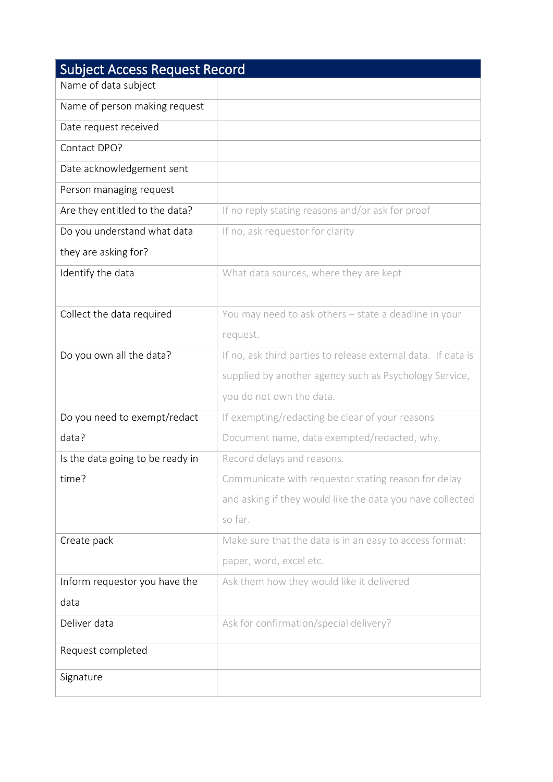| <b>Subject Access Request Record</b> |                                                               |  |  |  |  |
|--------------------------------------|---------------------------------------------------------------|--|--|--|--|
| Name of data subject                 |                                                               |  |  |  |  |
| Name of person making request        |                                                               |  |  |  |  |
| Date request received                |                                                               |  |  |  |  |
| Contact DPO?                         |                                                               |  |  |  |  |
| Date acknowledgement sent            |                                                               |  |  |  |  |
| Person managing request              |                                                               |  |  |  |  |
| Are they entitled to the data?       | If no reply stating reasons and/or ask for proof              |  |  |  |  |
| Do you understand what data          | If no, ask requestor for clarity                              |  |  |  |  |
| they are asking for?                 |                                                               |  |  |  |  |
| Identify the data                    | What data sources, where they are kept                        |  |  |  |  |
|                                      |                                                               |  |  |  |  |
| Collect the data required            | You may need to ask others - state a deadline in your         |  |  |  |  |
|                                      | request.                                                      |  |  |  |  |
| Do you own all the data?             | If no, ask third parties to release external data. If data is |  |  |  |  |
|                                      | supplied by another agency such as Psychology Service,        |  |  |  |  |
|                                      | you do not own the data.                                      |  |  |  |  |
| Do you need to exempt/redact         | If exempting/redacting be clear of your reasons               |  |  |  |  |
| data?                                | Document name, data exempted/redacted, why.                   |  |  |  |  |
| Is the data going to be ready in     | Record delays and reasons.                                    |  |  |  |  |
| time?                                | Communicate with requestor stating reason for delay           |  |  |  |  |
|                                      | and asking if they would like the data you have collected     |  |  |  |  |
|                                      | so far.                                                       |  |  |  |  |
| Create pack                          | Make sure that the data is in an easy to access format:       |  |  |  |  |
|                                      | paper, word, excel etc.                                       |  |  |  |  |
| Inform requestor you have the        | Ask them how they would like it delivered                     |  |  |  |  |
| data                                 |                                                               |  |  |  |  |
| Deliver data                         | Ask for confirmation/special delivery?                        |  |  |  |  |
| Request completed                    |                                                               |  |  |  |  |
|                                      |                                                               |  |  |  |  |
| Signature                            |                                                               |  |  |  |  |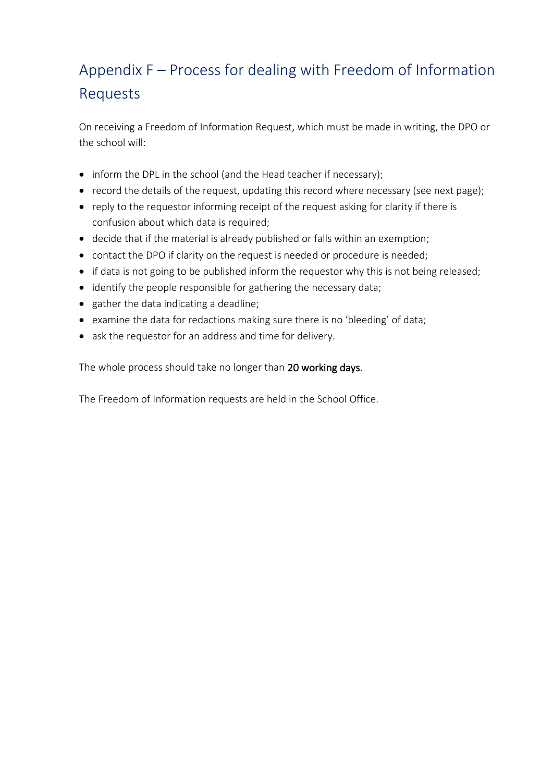## Appendix F – Process for dealing with Freedom of Information Requests

On receiving a Freedom of Information Request, which must be made in writing, the DPO or the school will:

- inform the DPL in the school (and the Head teacher if necessary);
- record the details of the request, updating this record where necessary (see next page);
- reply to the requestor informing receipt of the request asking for clarity if there is confusion about which data is required;
- decide that if the material is already published or falls within an exemption;
- contact the DPO if clarity on the request is needed or procedure is needed;
- if data is not going to be published inform the requestor why this is not being released;
- identify the people responsible for gathering the necessary data;
- gather the data indicating a deadline;
- examine the data for redactions making sure there is no 'bleeding' of data;
- ask the requestor for an address and time for delivery.

The whole process should take no longer than 20 working days.

The Freedom of Information requests are held in the School Office.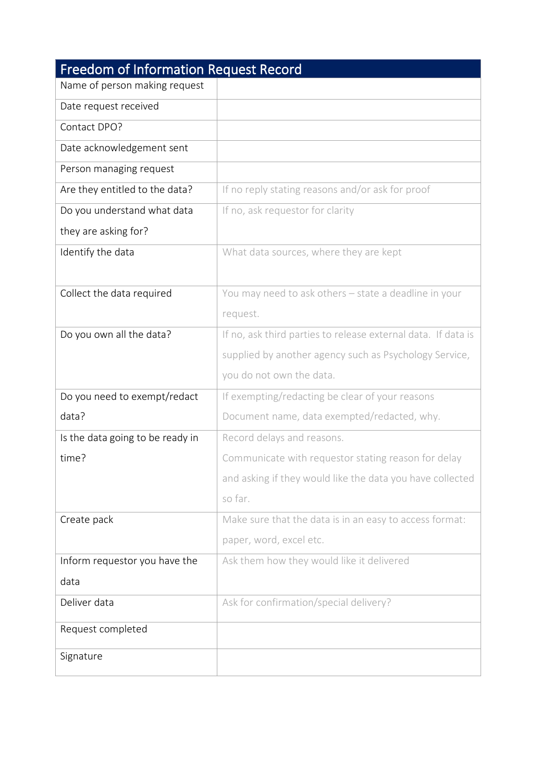| <b>Freedom of Information Request Record</b> |                                                               |  |  |  |
|----------------------------------------------|---------------------------------------------------------------|--|--|--|
| Name of person making request                |                                                               |  |  |  |
| Date request received                        |                                                               |  |  |  |
| Contact DPO?                                 |                                                               |  |  |  |
| Date acknowledgement sent                    |                                                               |  |  |  |
| Person managing request                      |                                                               |  |  |  |
| Are they entitled to the data?               | If no reply stating reasons and/or ask for proof              |  |  |  |
| Do you understand what data                  | If no, ask requestor for clarity                              |  |  |  |
| they are asking for?                         |                                                               |  |  |  |
| Identify the data                            | What data sources, where they are kept                        |  |  |  |
|                                              |                                                               |  |  |  |
| Collect the data required                    | You may need to ask others - state a deadline in your         |  |  |  |
|                                              | request.                                                      |  |  |  |
| Do you own all the data?                     | If no, ask third parties to release external data. If data is |  |  |  |
|                                              | supplied by another agency such as Psychology Service,        |  |  |  |
|                                              | you do not own the data.                                      |  |  |  |
| Do you need to exempt/redact                 | If exempting/redacting be clear of your reasons               |  |  |  |
| data?                                        | Document name, data exempted/redacted, why.                   |  |  |  |
| Is the data going to be ready in             | Record delays and reasons.                                    |  |  |  |
| time?                                        | Communicate with requestor stating reason for delay           |  |  |  |
|                                              | and asking if they would like the data you have collected     |  |  |  |
|                                              | so far.                                                       |  |  |  |
| Create pack                                  | Make sure that the data is in an easy to access format:       |  |  |  |
|                                              | paper, word, excel etc.                                       |  |  |  |
| Inform requestor you have the                | Ask them how they would like it delivered                     |  |  |  |
| data                                         |                                                               |  |  |  |
| Deliver data                                 | Ask for confirmation/special delivery?                        |  |  |  |
| Request completed                            |                                                               |  |  |  |
|                                              |                                                               |  |  |  |
| Signature                                    |                                                               |  |  |  |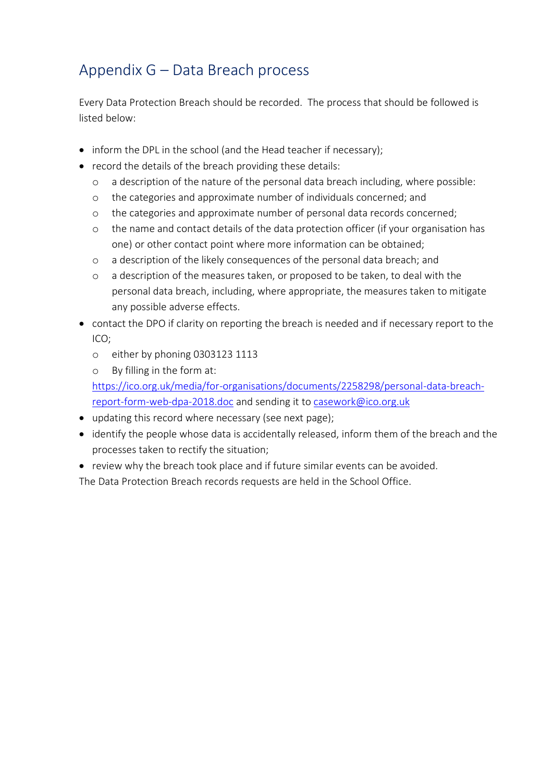## <span id="page-27-0"></span>Appendix G – Data Breach process

Every Data Protection Breach should be recorded. The process that should be followed is listed below:

- inform the DPL in the school (and the Head teacher if necessary);
- record the details of the breach providing these details:
	- o a description of the nature of the personal data breach including, where possible:
	- o the categories and approximate number of individuals concerned; and
	- o the categories and approximate number of personal data records concerned;
	- o the name and contact details of the data protection officer (if your organisation has one) or other contact point where more information can be obtained;
	- o a description of the likely consequences of the personal data breach; and
	- o a description of the measures taken, or proposed to be taken, to deal with the personal data breach, including, where appropriate, the measures taken to mitigate any possible adverse effects.
- contact the DPO if clarity on reporting the breach is needed and if necessary report to the ICO;
	- o either by phoning 0303123 1113
	- o By filling in the form at:

[https://ico.org.uk/media/for-organisations/documents/2258298/personal-data-breach](https://ico.org.uk/media/for-organisations/documents/2258298/personal-data-breach-report-form-web-dpa-2018.doc)[report-form-web-dpa-2018.doc](https://ico.org.uk/media/for-organisations/documents/2258298/personal-data-breach-report-form-web-dpa-2018.doc) and sending it t[o casework@ico.org.uk](mailto:casework@ico.org.uk)

- updating this record where necessary (see next page);
- identify the people whose data is accidentally released, inform them of the breach and the processes taken to rectify the situation;
- review why the breach took place and if future similar events can be avoided.

The Data Protection Breach records requests are held in the School Office.